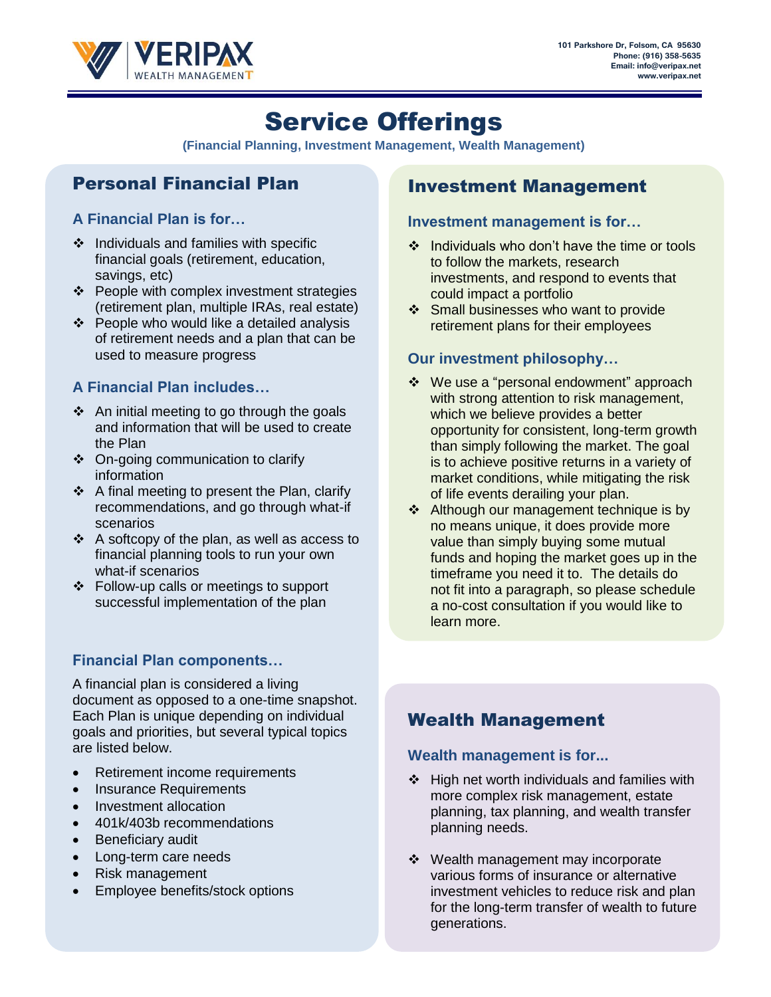

# Service Offerings

**(Financial Planning, Investment Management, Wealth Management)**

# Personal Financial Plan

### **A Financial Plan is for…**

- ❖ Individuals and families with specific financial goals (retirement, education, savings, etc)
- ❖ People with complex investment strategies (retirement plan, multiple IRAs, real estate)
- ❖ People who would like a detailed analysis of retirement needs and a plan that can be used to measure progress

## **A Financial Plan includes…**

- ❖ An initial meeting to go through the goals and information that will be used to create the Plan
- ❖ On-going communication to clarify information
- ❖ A final meeting to present the Plan, clarify recommendations, and go through what-if scenarios
- ❖ A softcopy of the plan, as well as access to financial planning tools to run your own what-if scenarios
- ❖ Follow-up calls or meetings to support successful implementation of the plan

# **Financial Plan components…**

A financial plan is considered a living document as opposed to a one-time snapshot. Each Plan is unique depending on individual goals and priorities, but several typical topics are listed below.

- Retirement income requirements
- Insurance Requirements
- Investment allocation
- 401k/403b recommendations
- Beneficiary audit
- Long-term care needs
- Risk management
- Employee benefits/stock options

# Investment Management

#### **Investment management is for…**

- ❖ Individuals who don't have the time or tools to follow the markets, research investments, and respond to events that could impact a portfolio
- ❖ Small businesses who want to provide retirement plans for their employees

# **Our investment philosophy…**

- ❖ We use a "personal endowment" approach with strong attention to risk management, which we believe provides a better opportunity for consistent, long-term growth than simply following the market. The goal is to achieve positive returns in a variety of market conditions, while mitigating the risk of life events derailing your plan.
- ❖ Although our management technique is by no means unique, it does provide more value than simply buying some mutual funds and hoping the market goes up in the timeframe you need it to. The details do not fit into a paragraph, so please schedule a no-cost consultation if you would like to learn more.

# Wealth Management

#### **Wealth management is for...**

- ❖ High net worth individuals and families with more complex risk management, estate planning, tax planning, and wealth transfer planning needs.
- ❖ Wealth management may incorporate various forms of insurance or alternative investment vehicles to reduce risk and plan for the long-term transfer of wealth to future generations.